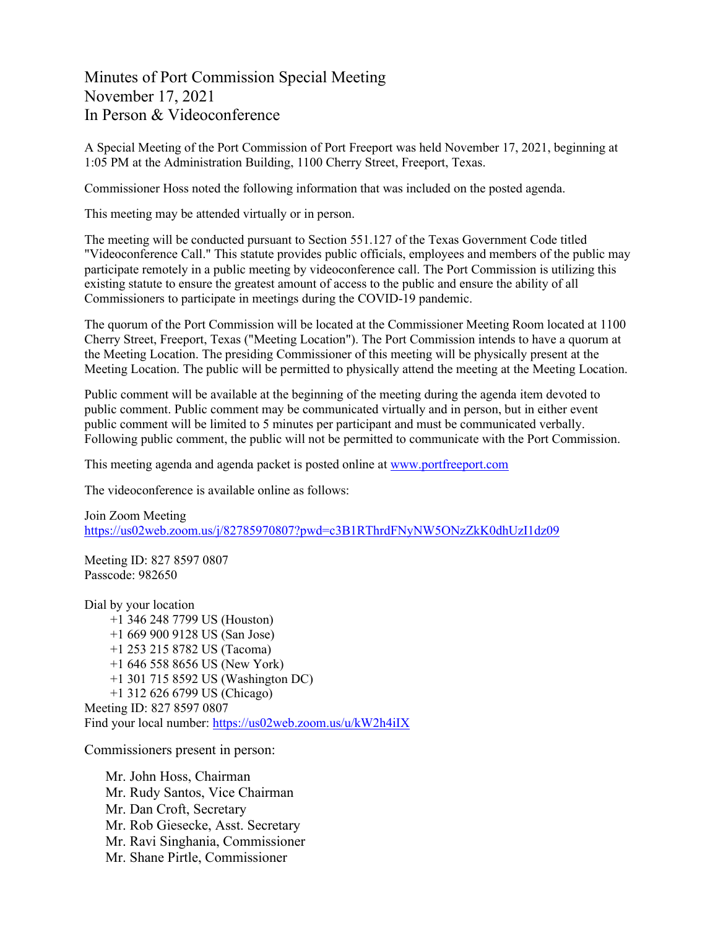Minutes of Port Commission Special Meeting November 17, 2021 In Person & Videoconference

A Special Meeting of the Port Commission of Port Freeport was held November 17, 2021, beginning at 1:05 PM at the Administration Building, 1100 Cherry Street, Freeport, Texas.

Commissioner Hoss noted the following information that was included on the posted agenda.

This meeting may be attended virtually or in person.

The meeting will be conducted pursuant to Section 551.127 of the Texas Government Code titled "Videoconference Call." This statute provides public officials, employees and members of the public may participate remotely in a public meeting by videoconference call. The Port Commission is utilizing this existing statute to ensure the greatest amount of access to the public and ensure the ability of all Commissioners to participate in meetings during the COVID-19 pandemic.

The quorum of the Port Commission will be located at the Commissioner Meeting Room located at 1100 Cherry Street, Freeport, Texas ("Meeting Location"). The Port Commission intends to have a quorum at the Meeting Location. The presiding Commissioner of this meeting will be physically present at the Meeting Location. The public will be permitted to physically attend the meeting at the Meeting Location.

Public comment will be available at the beginning of the meeting during the agenda item devoted to public comment. Public comment may be communicated virtually and in person, but in either event public comment will be limited to 5 minutes per participant and must be communicated verbally. Following public comment, the public will not be permitted to communicate with the Port Commission.

This meeting agenda and agenda packet is posted online at [www.portfreeport.com](http://www.portfreeport.com/)

The videoconference is available online as follows:

Join Zoom Meeting <https://us02web.zoom.us/j/82785970807?pwd=c3B1RThrdFNyNW5ONzZkK0dhUzI1dz09>

Meeting ID: 827 8597 0807 Passcode: 982650

Dial by your location +1 346 248 7799 US (Houston) +1 669 900 9128 US (San Jose) +1 253 215 8782 US (Tacoma) +1 646 558 8656 US (New York) +1 301 715 8592 US (Washington DC) +1 312 626 6799 US (Chicago) Meeting ID: 827 8597 0807 Find your local number:<https://us02web.zoom.us/u/kW2h4iIX>

Commissioners present in person:

Mr. John Hoss, Chairman Mr. Rudy Santos, Vice Chairman Mr. Dan Croft, Secretary Mr. Rob Giesecke, Asst. Secretary Mr. Ravi Singhania, Commissioner Mr. Shane Pirtle, Commissioner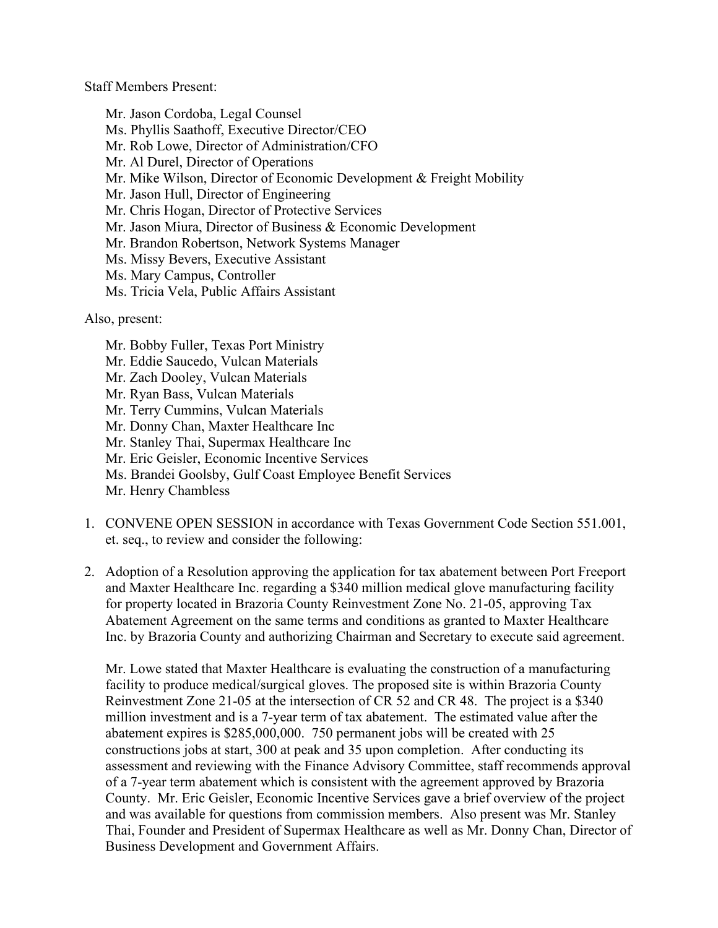Staff Members Present:

Mr. Jason Cordoba, Legal Counsel Ms. Phyllis Saathoff, Executive Director/CEO Mr. Rob Lowe, Director of Administration/CFO Mr. Al Durel, Director of Operations Mr. Mike Wilson, Director of Economic Development & Freight Mobility Mr. Jason Hull, Director of Engineering Mr. Chris Hogan, Director of Protective Services Mr. Jason Miura, Director of Business & Economic Development Mr. Brandon Robertson, Network Systems Manager Ms. Missy Bevers, Executive Assistant Ms. Mary Campus, Controller Ms. Tricia Vela, Public Affairs Assistant

Also, present:

- Mr. Bobby Fuller, Texas Port Ministry Mr. Eddie Saucedo, Vulcan Materials Mr. Zach Dooley, Vulcan Materials Mr. Ryan Bass, Vulcan Materials Mr. Terry Cummins, Vulcan Materials Mr. Donny Chan, Maxter Healthcare Inc Mr. Stanley Thai, Supermax Healthcare Inc Mr. Eric Geisler, Economic Incentive Services Ms. Brandei Goolsby, Gulf Coast Employee Benefit Services Mr. Henry Chambless
- 1. CONVENE OPEN SESSION in accordance with Texas Government Code Section 551.001, et. seq., to review and consider the following:
- 2. Adoption of a Resolution approving the application for tax abatement between Port Freeport and Maxter Healthcare Inc. regarding a \$340 million medical glove manufacturing facility for property located in Brazoria County Reinvestment Zone No. 21-05, approving Tax Abatement Agreement on the same terms and conditions as granted to Maxter Healthcare Inc. by Brazoria County and authorizing Chairman and Secretary to execute said agreement.

Mr. Lowe stated that Maxter Healthcare is evaluating the construction of a manufacturing facility to produce medical/surgical gloves. The proposed site is within Brazoria County Reinvestment Zone 21-05 at the intersection of CR 52 and CR 48. The project is a \$340 million investment and is a 7-year term of tax abatement. The estimated value after the abatement expires is \$285,000,000. 750 permanent jobs will be created with 25 constructions jobs at start, 300 at peak and 35 upon completion. After conducting its assessment and reviewing with the Finance Advisory Committee, staff recommends approval of a 7-year term abatement which is consistent with the agreement approved by Brazoria County. Mr. Eric Geisler, Economic Incentive Services gave a brief overview of the project and was available for questions from commission members. Also present was Mr. Stanley Thai, Founder and President of Supermax Healthcare as well as Mr. Donny Chan, Director of Business Development and Government Affairs.